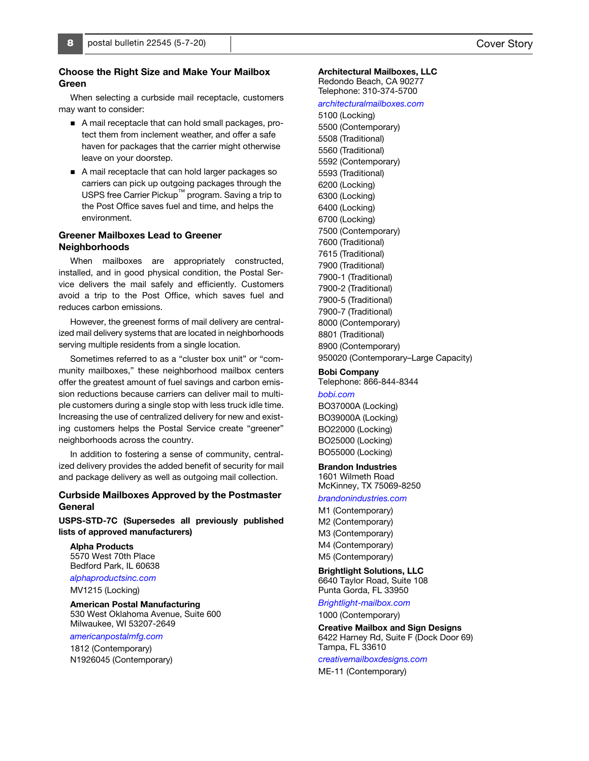# Choose the Right Size and Make Your Mailbox Green

When selecting a curbside mail receptacle, customers may want to consider:

- A mail receptacle that can hold small packages, protect them from inclement weather, and offer a safe haven for packages that the carrier might otherwise leave on your doorstep.
- A mail receptacle that can hold larger packages so carriers can pick up outgoing packages through the USPS free Carrier Pickup™ program. Saving a trip to the Post Office saves fuel and time, and helps the environment.

# Greener Mailboxes Lead to Greener Neighborhoods

When mailboxes are appropriately constructed, installed, and in good physical condition, the Postal Service delivers the mail safely and efficiently. Customers avoid a trip to the Post Office, which saves fuel and reduces carbon emissions.

However, the greenest forms of mail delivery are centralized mail delivery systems that are located in neighborhoods serving multiple residents from a single location.

Sometimes referred to as a "cluster box unit" or "community mailboxes," these neighborhood mailbox centers offer the greatest amount of fuel savings and carbon emission reductions because carriers can deliver mail to multiple customers during a single stop with less truck idle time. Increasing the use of centralized delivery for new and existing customers helps the Postal Service create "greener" neighborhoods across the country.

In addition to fostering a sense of community, centralized delivery provides the added benefit of security for mail and package delivery as well as outgoing mail collection.

# Curbside Mailboxes Approved by the Postmaster General

USPS-STD-7C (Supersedes all previously published lists of approved manufacturers)

#### Alpha Products 5570 West 70th Place Bedford Park, IL 60638

[alphaproductsinc.com](http://www.alphaproductsinc.com)

MV1215 (Locking)

# American Postal Manufacturing

530 West Oklahoma Avenue, Suite 600 Milwaukee, WI 53207-2649

# [americanpostalmfg.com](http://www.americanpostalmfg.com)

1812 (Contemporary) N1926045 (Contemporary)

# Architectural Mailboxes, LLC

Redondo Beach, CA 90277 Telephone: 310-374-5700

### [architecturalmailboxes.com](http://www.architecturalmailboxes.com)

5100 (Locking) 5500 (Contemporary) 5508 (Traditional) 5560 (Traditional) 5592 (Contemporary) 5593 (Traditional) 6200 (Locking) 6300 (Locking) 6400 (Locking) 6700 (Locking) 7500 (Contemporary) 7600 (Traditional) 7615 (Traditional) 7900 (Traditional) 7900-1 (Traditional) 7900-2 (Traditional) 7900-5 (Traditional) 7900-7 (Traditional) 8000 (Contemporary) 8801 (Traditional) 8900 (Contemporary) 950020 (Contemporary–Large Capacity)

# Bobi Company

Telephone: 866-844-8344 [bobi.com](http://www.bobi.com) BO37000A (Locking) BO39000A (Locking) BO22000 (Locking) BO25000 (Locking) BO55000 (Locking)

## Brandon Industries

1601 Wilmeth Road McKinney, TX 75069-8250

### [brandonindustries.com](http://www.brandonindustries.com)

M1 (Contemporary) M2 (Contemporary) M3 (Contemporary) M4 (Contemporary) M5 (Contemporary)

Brightlight Solutions, LLC 6640 Taylor Road, Suite 108 Punta Gorda, FL 33950

# [Brightlight-mailbox.com](http://Brightlight-mailbox.com)

1000 (Contemporary)

Creative Mailbox and Sign Designs 6422 Harney Rd, Suite F (Dock Door 69) Tampa, FL 33610

### [creativemailboxdesigns.com](http://www.creativemailboxdesigns.com)

ME-11 (Contemporary)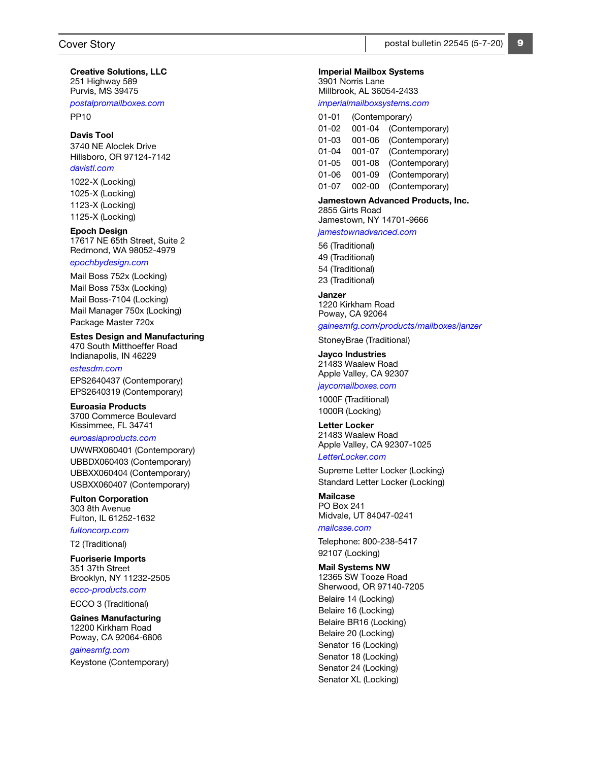Creative Solutions, LLC 251 Highway 589 Purvis, MS 39475

[postalpromailboxes.com](http://postalpromailboxes.com)

PP10

## Davis Tool

3740 NE Aloclek Drive Hillsboro, OR 97124-7142 [davistl.com](http://davistl.com) 

1022-X (Locking) 1025-X (Locking) 1123-X (Locking) 1125-X (Locking)

Epoch Design 17617 NE 65th Street, Suite 2 Redmond, WA 98052-4979

# [epochbydesign.com](http://epochbydesign.com)

Mail Boss 752x (Locking) Mail Boss 753x (Locking) Mail Boss-7104 (Locking) Mail Manager 750x (Locking) Package Master 720x

Estes Design and Manufacturing 470 South Mitthoeffer Road Indianapolis, IN 46229

[estesdm.com](http://estesdm.com) EPS2640437 (Contemporary) EPS2640319 (Contemporary)

Euroasia Products 3700 Commerce Boulevard Kissimmee, FL 34741

#### [euroasiaproducts.com](http://euroasiaproducts.com)

UWWRX060401 (Contemporary) UBBDX060403 (Contemporary) UBBXX060404 (Contemporary) USBXX060407 (Contemporary)

Fulton Corporation 303 8th Avenue Fulton, IL 61252-1632 [fultoncorp.com](http://fultoncorp.com)

T2 (Traditional)

Fuoriserie Imports 351 37th Street Brooklyn, NY 11232-2505

[ecco-products.com](http://ecco-products.com) 

ECCO 3 (Traditional)

Gaines Manufacturing 12200 Kirkham Road Poway, CA 92064-6806

# [gainesmfg.com](http://gainesmfg.com)

Keystone (Contemporary)

9

#### Imperial Mailbox Systems

3901 Norris Lane Millbrook, AL 36054-2433 [imperialmailboxsystems.com](http://imperialmailboxsystems.com)

| 01-01 | (Contemporary) |                |
|-------|----------------|----------------|
| 01-02 | $001 - 04$     | (Contemporary) |
| 01-03 | 001-06         | (Contemporary) |
| 01-04 | 001-07         | (Contemporary) |
| 01-05 | $001 - 08$     | (Contemporary) |
| 01-06 | 001-09         | (Contemporary) |
| 01-07 | $002 - 00$     | (Contemporary) |
|       |                |                |

### Jamestown Advanced Products, Inc. 2855 Girts Road

Jamestown, NY 14701-9666

[jamestownadvanced.com](http://jamestownadvanced.com)

56 (Traditional) 49 (Traditional) 54 (Traditional) 23 (Traditional)

# Janzer

1220 Kirkham Road Poway, CA 92064

# [gainesmfg.com/products/mailboxes/janzer](https://gainesmfg.com/products/mailboxes/janzer)

StoneyBrae (Traditional)

Jayco Industries 21483 Waalew Road Apple Valley, CA 92307

# [jaycomailboxes.com](http://jaycomailboxes.com)

1000F (Traditional) 1000R (Locking)

Letter Locker 21483 Waalew Road Apple Valley, CA 92307-1025

[LetterLocker.com](http://LetterLocker.com) 

Supreme Letter Locker (Locking) Standard Letter Locker (Locking)

# Mailcase PO Box 241 Midvale, UT 84047-0241

# [mailcase.com](http://mailcase.com)

Telephone: 800-238-5417 92107 (Locking)

### Mail Systems NW

12365 SW Tooze Road Sherwood, OR 97140-7205 Belaire 14 (Locking) Belaire 16 (Locking) Belaire BR16 (Locking) Belaire 20 (Locking) Senator 16 (Locking) Senator 18 (Locking) Senator 24 (Locking) Senator XL (Locking)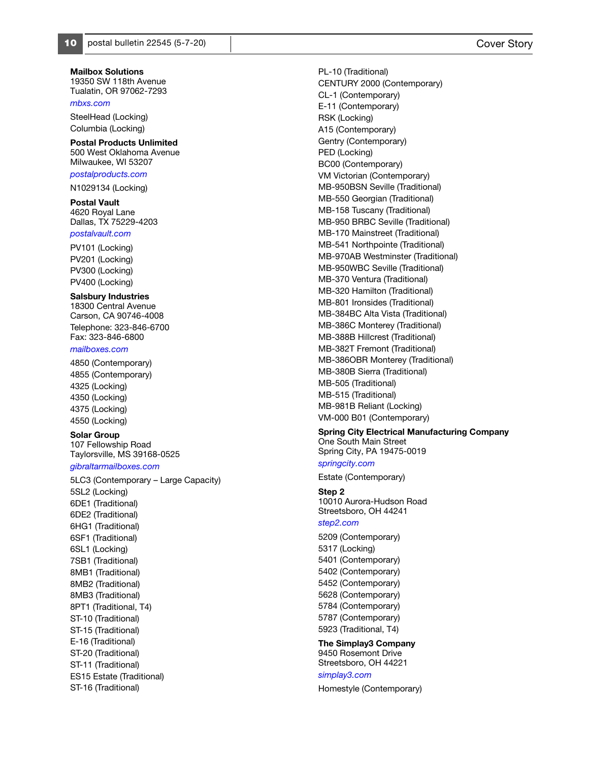Mailbox Solutions 19350 SW 118th Avenue Tualatin, OR 97062-7293

#### [mbxs.com](http://mbxs.com)

SteelHead (Locking) Columbia (Locking)

#### Postal Products Unlimited 500 West Oklahoma Avenue

Milwaukee, WI 53207

# [postalproducts.com](http://postalproducts.com)

N1029134 (Locking)

# Postal Vault

4620 Royal Lane Dallas, TX 75229-4203

# [postalvault.com](http://postalvault.com)

PV101 (Locking) PV201 (Locking) PV300 (Locking) PV400 (Locking)

### Salsbury Industries

18300 Central Avenue Carson, CA 90746-4008 Telephone: 323-846-6700 Fax: 323-846-6800

#### [mailboxes.com](http://mailboxes.com)

4850 (Contemporary) 4855 (Contemporary) 4325 (Locking) 4350 (Locking) 4375 (Locking) 4550 (Locking)

#### Solar Group

107 Fellowship Road Taylorsville, MS 39168-0525

# [gibraltarmailboxes.com](http://gibraltarmailboxes.com)

5LC3 (Contemporary – Large Capacity) 5SL2 (Locking) 6DE1 (Traditional) 6DE2 (Traditional) 6HG1 (Traditional) 6SF1 (Traditional) 6SL1 (Locking) 7SB1 (Traditional) 8MB1 (Traditional) 8MB2 (Traditional) 8MB3 (Traditional) 8PT1 (Traditional, T4) ST-10 (Traditional) ST-15 (Traditional) E-16 (Traditional) ST-20 (Traditional) ST-11 (Traditional) ES15 Estate (Traditional) ST-16 (Traditional)

PL-10 (Traditional) CENTURY 2000 (Contemporary) CL-1 (Contemporary) E-11 (Contemporary) RSK (Locking) A15 (Contemporary) Gentry (Contemporary) PED (Locking) BC00 (Contemporary) VM Victorian (Contemporary) MB-950BSN Seville (Traditional) MB-550 Georgian (Traditional) MB-158 Tuscany (Traditional) MB-950 BRBC Seville (Traditional) MB-170 Mainstreet (Traditional) MB-541 Northpointe (Traditional) MB-970AB Westminster (Traditional) MB-950WBC Seville (Traditional) MB-370 Ventura (Traditional) MB-320 Hamilton (Traditional) MB-801 Ironsides (Traditional) MB-384BC Alta Vista (Traditional) MB-386C Monterey (Traditional) MB-388B Hillcrest (Traditional) MB-382T Fremont (Traditional) MB-386OBR Monterey (Traditional) MB-380B Sierra (Traditional) MB-505 (Traditional) MB-515 (Traditional) MB-981B Reliant (Locking) VM-000 B01 (Contemporary)

## Spring City Electrical Manufacturing Company

One South Main Street Spring City, PA 19475-0019 [springcity.com](http://springcity.com)

# Estate (Contemporary)

Step 2 10010 Aurora-Hudson Road

Streetsboro, OH 44241

# [step2.com](http://step2.com)

5209 (Contemporary) 5317 (Locking) 5401 (Contemporary) 5402 (Contemporary) 5452 (Contemporary) 5628 (Contemporary) 5784 (Contemporary) 5787 (Contemporary) 5923 (Traditional, T4)

The Simplay3 Company 9450 Rosemont Drive Streetsboro, OH 44221

# [simplay3.com](https://simplay3.com/)

Homestyle (Contemporary)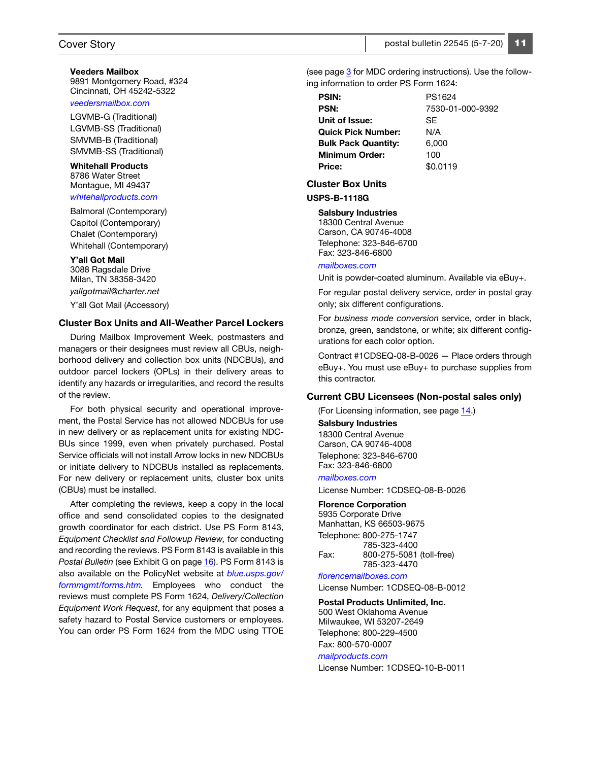### Veeders Mailbox 9891 Montgomery Road, #324 Cincinnati, OH 45242-5322

#### [veedersmailbox.com](http://veedersmailbox.com)

LGVMB-G (Traditional) LGVMB-SS (Traditional) SMVMB-B (Traditional) SMVMB-SS (Traditional)

#### Whitehall Products 8786 Water Street Montague, MI 49437

[whitehallproducts.com](https://whitehallproducts.com)

Balmoral (Contemporary) Capitol (Contemporary) Chalet (Contemporary) Whitehall (Contemporary)

#### Y'all Got Mail

3088 Ragsdale Drive Milan, TN 38358-3420 [yallgotmail@charter.net](http://yallgotmail@charter.net) Y'all Got Mail (Accessory)

# Cluster Box Units and All-Weather Parcel Lockers

During Mailbox Improvement Week, postmasters and managers or their designees must review all CBUs, neighborhood delivery and collection box units (NDCBUs), and outdoor parcel lockers (OPLs) in their delivery areas to identify any hazards or irregularities, and record the results of the review.

For both physical security and operational improvement, the Postal Service has not allowed NDCBUs for use in new delivery or as replacement units for existing NDC-BUs since 1999, even when privately purchased. Postal Service officials will not install Arrow locks in new NDCBUs or initiate delivery to NDCBUs installed as replacements. For new delivery or replacement units, cluster box units (CBUs) must be installed.

After completing the reviews, keep a copy in the local office and send consolidated copies to the designated growth coordinator for each district. Use PS Form 8143, Equipment Checklist and Followup Review, for conducting and recording the reviews. PS Form 8143 is available in this Postal Bulletin (see Exhibit G on page 16). PS Form 8143 is also available on the PolicyNet website at [blue.usps.gov/](http://blue.usps.gov/formmgmt/forms.htm) [formmgmt/forms.htm.](http://blue.usps.gov/formmgmt/forms.htm) Employees who conduct the reviews must complete PS Form 1624, Delivery/Collection Equipment Work Request, for any equipment that poses a safety hazard to Postal Service customers or employees. You can order PS Form 1624 from the MDC using TTOE

(see page 3 for MDC ordering instructions). Use the following information to order PS Form 1624:

| PS1624           |
|------------------|
| 7530-01-000-9392 |
| <b>SF</b>        |
| N/A              |
| 6,000            |
| 100              |
| \$0.0119         |
|                  |

## Cluster Box Units

#### USPS-B-1118G

Salsbury Industries

18300 Central Avenue Carson, CA 90746-4008 Telephone: 323-846-6700 Fax: 323-846-6800

#### [mailboxes.com](http://mailboxes.com)

Unit is powder-coated aluminum. Available via eBuy+.

For regular postal delivery service, order in postal gray only; six different configurations.

For business mode conversion service, order in black, bronze, green, sandstone, or white; six different configurations for each color option.

Contract #1CDSEQ-08-B-0026 — Place orders through eBuy+. You must use eBuy+ to purchase supplies from this contractor.

### Current CBU Licensees (Non-postal sales only)

(For Licensing information, see page 14.)

Salsbury Industries 18300 Central Avenue Carson, CA 90746-4008 Telephone: 323-846-6700 Fax: 323-846-6800

[mailboxes.com](http://www.mailboxes.com)

License Number: 1CDSEQ-08-B-0026

#### Florence Corporation

5935 Corporate Drive Manhattan, KS 66503-9675 Telephone: 800-275-1747 785-323-4400 Fax: 800-275-5081 (toll-free) 785-323-4470

[florencemailboxes.com](http://www.florencemailboxes.com)

License Number: 1CDSEQ-08-B-0012

# Postal Products Unlimited, Inc.

500 West Oklahoma Avenue Milwaukee, WI 53207-2649 Telephone: 800-229-4500 Fax: 800-570-0007

#### [mailproducts.com](http://www.mailproducts.com)

License Number: 1CDSEQ-10-B-0011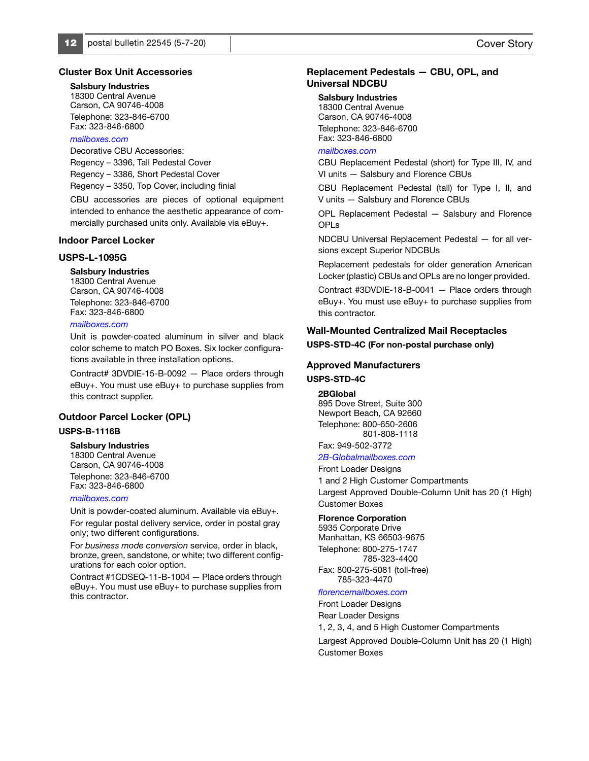## Cluster Box Unit Accessories

# Salsbury Industries

18300 Central Avenue Carson, CA 90746-4008 Telephone: 323-846-6700 Fax: 323-846-6800

### [mailboxes.com](http://www.mailboxes.com/)

Decorative CBU Accessories: Regency – 3396, Tall Pedestal Cover Regency – 3386, Short Pedestal Cover Regency – 3350, Top Cover, including finial

CBU accessories are pieces of optional equipment intended to enhance the aesthetic appearance of commercially purchased units only. Available via eBuy+.

### Indoor Parcel Locker

# USPS-L-1095G

### Salsbury Industries

18300 Central Avenue Carson, CA 90746-4008 Telephone: 323-846-6700 Fax: 323-846-6800

### [mailboxes.com](http://www.mailboxes.com/)

Unit is powder-coated aluminum in silver and black color scheme to match PO Boxes. Six locker configurations available in three installation options.

Contract# 3DVDIE-15-B-0092 — Place orders through eBuy+. You must use eBuy+ to purchase supplies from this contract supplier.

### Outdoor Parcel Locker (OPL)

### USPS-B-1116B

#### Salsbury Industries

18300 Central Avenue Carson, CA 90746-4008 Telephone: 323-846-6700 Fax: 323-846-6800

#### [mailboxes.com](http://www.mailboxes.com/)

Unit is powder-coated aluminum. Available via eBuy+.

For regular postal delivery service, order in postal gray only; two different configurations.

For business mode conversion service, order in black, bronze, green, sandstone, or white; two different configurations for each color option.

Contract #1CDSEQ-11-B-1004 — Place orders through eBuy+. You must use eBuy+ to purchase supplies from this contractor.

# Replacement Pedestals — CBU, OPL, and Universal NDCBU

#### Salsbury Industries

18300 Central Avenue Carson, CA 90746-4008 Telephone: 323-846-6700 Fax: 323-846-6800

# mailhoxes.com

CBU Replacement Pedestal (short) for Type III, IV, and VI units — Salsbury and Florence CBUs

CBU Replacement Pedestal (tall) for Type I, II, and V units — Salsbury and Florence CBUs

OPL Replacement Pedestal — Salsbury and Florence OPLs

NDCBU Universal Replacement Pedestal — for all versions except Superior NDCBUs

Replacement pedestals for older generation American Locker (plastic) CBUs and OPLs are no longer provided.

Contract #3DVDIE-18-B-0041 — Place orders through eBuy+. You must use eBuy+ to purchase supplies from this contractor.

# Wall-Mounted Centralized Mail Receptacles

### USPS-STD-4C (For non-postal purchase only)

## Approved Manufacturers

# USPS-STD-4C

#### 2BGlobal

895 Dove Street, Suite 300 Newport Beach, CA 92660 Telephone: 800-650-2606 801-808-1118

# Fax: 949-502-3772

# [2B-Globalmailboxes.com](http://www.2B-Globalmailboxes.com)

Front Loader Designs 1 and 2 High Customer Compartments Largest Approved Double-Column Unit has 20 (1 High) Customer Boxes

### Florence Corporation

5935 Corporate Drive Manhattan, KS 66503-9675 Telephone: 800-275-1747 785-323-4400 Fax: 800-275-5081 (toll-free)

785-323-4470

# [florencemailboxes.com](http://www.florencemailboxes.com)

Front Loader Designs Rear Loader Designs 1, 2, 3, 4, and 5 High Customer Compartments

Largest Approved Double-Column Unit has 20 (1 High) Customer Boxes